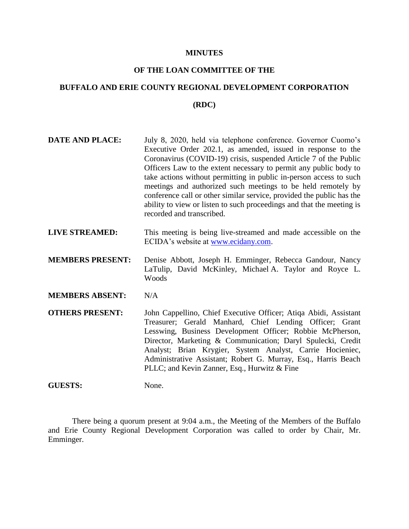#### **MINUTES**

# **OF THE LOAN COMMITTEE OF THE**

# **BUFFALO AND ERIE COUNTY REGIONAL DEVELOPMENT CORPORATION (RDC)**

- **DATE AND PLACE:** July 8, 2020, held via telephone conference. Governor Cuomo's Executive Order 202.1, as amended, issued in response to the Coronavirus (COVID-19) crisis, suspended Article 7 of the Public Officers Law to the extent necessary to permit any public body to take actions without permitting in public in-person access to such meetings and authorized such meetings to be held remotely by conference call or other similar service, provided the public has the ability to view or listen to such proceedings and that the meeting is recorded and transcribed.
- **LIVE STREAMED:** This meeting is being live-streamed and made accessible on the ECIDA's website at [www.ecidany.com.](http://www.ecidany.com/)
- **MEMBERS PRESENT:** Denise Abbott, Joseph H. Emminger, Rebecca Gandour, Nancy LaTulip, David McKinley, Michael A. Taylor and Royce L. Woods
- **MEMBERS ABSENT:** N/A

**OTHERS PRESENT:** John Cappellino, Chief Executive Officer; Atiqa Abidi, Assistant Treasurer; Gerald Manhard, Chief Lending Officer; Grant Lesswing, Business Development Officer; Robbie McPherson, Director, Marketing & Communication; Daryl Spulecki, Credit Analyst; Brian Krygier, System Analyst, Carrie Hocieniec, Administrative Assistant; Robert G. Murray, Esq., Harris Beach PLLC; and Kevin Zanner, Esq., Hurwitz & Fine

**GUESTS:** None.

There being a quorum present at 9:04 a.m., the Meeting of the Members of the Buffalo and Erie County Regional Development Corporation was called to order by Chair, Mr. Emminger.